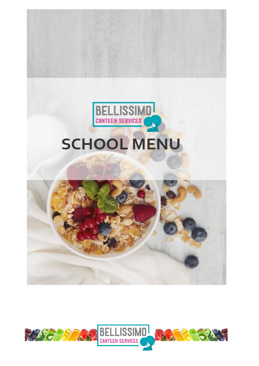

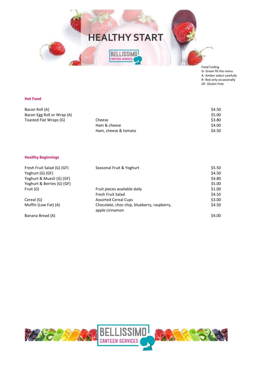

Food Coding G- Green fill the menu A- Amber select carefully R- Red only occasionally GF- Gluten Free

#### **Hot Food**

| Bacon Roll (A)             |                      | \$4.50 |
|----------------------------|----------------------|--------|
| Bacon Egg Roll or Wrap (A) |                      | \$5.00 |
| Toasted Flat Wraps (G)     | Cheese               | \$3.80 |
|                            | Ham & cheese         | \$4.00 |
|                            | Ham, cheese & tomato | \$4.50 |

#### **Healthy Beginnings**

| Fresh Fruit Salad (G) (GF)<br>Yoghurt (G) (GF) | Seasonal Fruit & Yoghurt                                      | \$5.50<br>\$4.50 |
|------------------------------------------------|---------------------------------------------------------------|------------------|
| Yoghurt & Muesli (G) (GF)                      |                                                               | \$4.80           |
| Yoghurt & Berries (G) (GF)                     |                                                               | \$5.00           |
| Fruit (G)                                      | Fruit pieces available daily                                  | \$1.00           |
|                                                | Fresh Fruit Salad                                             | \$4.50           |
| Cereal (G)                                     | <b>Assorted Cereal Cups</b>                                   | \$3.00           |
| Muffin (Low Fat) (A)                           | Chocolate, choc chip, blueberry, raspberry,<br>apple cinnamon | \$4.50           |
| Banana Bread (A)                               |                                                               | \$4.00           |

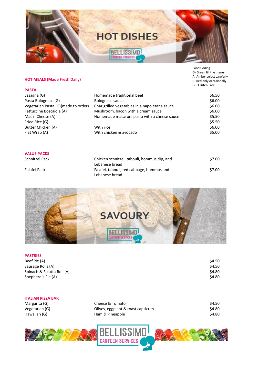

G- Green fill the menu A- Amber select carefully R- Red only occasionally GF- Gluten Free

# **HOT MEALS (Made Fresh Daily)**

| <b>PASTA</b>                        |                                               |        |
|-------------------------------------|-----------------------------------------------|--------|
| Lasagna (G)                         | Homemade traditional beef                     | \$6.50 |
| Pasta Bolognese (G)                 | Bolognese sauce                               | \$6.00 |
| Vegetarian Pasta (G)(made to order) | Char grilled vegetables in a napoletana sauce | \$6.00 |
| Fettuccine Boscaiola (A)            | Mushroom, bacon with a cream sauce            | \$6.00 |
| Mac n Cheese (A)                    | Homemade macaroni pasta with a cheese sauce   | \$5.50 |
| Fried Rice (G)                      |                                               | \$5.50 |
| Butter Chicken (A)                  | With rice                                     | \$6.00 |
| Flat Wrap (A)                       | With chicken & avocado                        | \$5.00 |
|                                     |                                               |        |
|                                     |                                               |        |
|                                     |                                               |        |

|  | <b>VALUE PACKS</b> |
|--|--------------------|
|  |                    |

Schnitzel Pack

Falafel Pack

| Chicken schnitzel, tabouli, hommus dip, and | \$7.00 |
|---------------------------------------------|--------|
| Lebanese bread                              |        |
| Falafel, tabouli, red cabbage, hommus and   | \$7.00 |
| Lebanese bread                              |        |



### **PASTRIES**

| Beef Pie (A)               | \$4.50 |
|----------------------------|--------|
| Sausage Rolls (A)          | \$4.50 |
| Spinach & Ricotta Roll (A) | \$4.80 |
| Shepherd's Pie (A)         | \$4.80 |

### **ITALIAN PIZZA BAR**

Margarita (G) Vegetarian (G) Hawaiian (G)

| Cheese & Tomato                   | \$4.50 |
|-----------------------------------|--------|
| Olives, eggplant & roast capsicum | \$4.80 |
| Ham & Pineapple                   | \$4.80 |

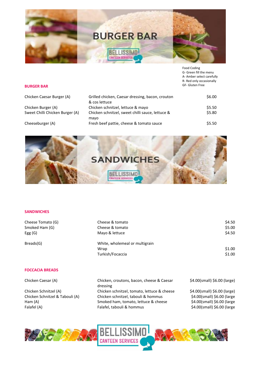

Food Coding G- Green fill the menu A- Amber select carefully R- Red only occasionally GF- Gluten Free

### **BURGER BAR**

Chicken Caesar Burger (A)

Chicken Burger (A) Sweet Chilli Chicken Burger (A)

Cheeseburger (A)

| Grilled chicken, Caesar dressing, bacon, crouton | \$6.00 |  |
|--------------------------------------------------|--------|--|
| & cos lettuce                                    |        |  |
| Chicken schnitzel, lettuce & mayo                | \$5.50 |  |
| Chicken schnitzel, sweet chilli sauce, lettuce & | \$5.80 |  |
| mayo                                             |        |  |
| Fresh beef pattie, cheese & tomato sauce         | \$5.50 |  |
|                                                  |        |  |



## **SANDWICHES**

| Cheese Tomato (G)               | Cheese & tomato                                       | \$4.50                       |
|---------------------------------|-------------------------------------------------------|------------------------------|
| Smoked Ham (G)                  | Cheese & tomato                                       | \$5.00                       |
| Egg $(G)$                       | Mayo & lettuce                                        | \$4.50                       |
| Breads(G)                       | White, wholemeal or multigrain                        |                              |
|                                 | Wrap                                                  | \$1.00                       |
|                                 | Turkish/Focaccia                                      | \$1.00                       |
| <b>FOCCACIA BREADS</b>          |                                                       |                              |
| Chicken Caesar (A)              | Chicken, croutons, bacon, cheese & Caesar<br>dressing | \$4.00(small) \$6.00 (large) |
| Chicken Schnitzel (A)           | Chicken schnitzel, tomato, lettuce & cheese           | \$4.00(small) \$6.00 (large) |
| Chicken Schnitzel & Tabouli (A) | Chicken schnitzel, tabouli & hommus                   | \$4.00(small) \$6.00 (large  |
| Ham $(A)$                       | Smoked ham, tomato, lettuce & cheese                  | \$4.00(small) \$6.00 (large  |
| Falafel (A)                     | Falafel, tabouli & hommus                             | \$4.00(small) \$6.00 (large  |
|                                 |                                                       |                              |